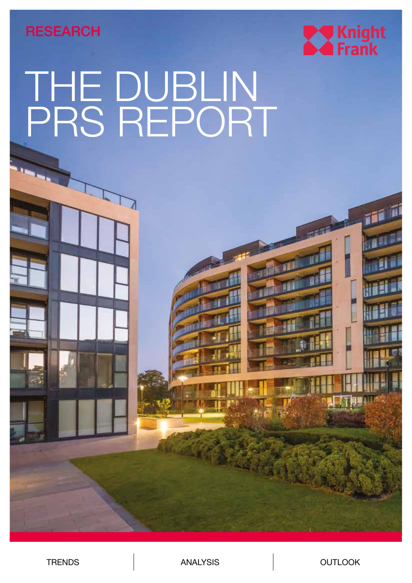**RESEARCH** 



# THE DUBLIN PRS REPORT

TRENDS | ANALYSIS | OUTLOOK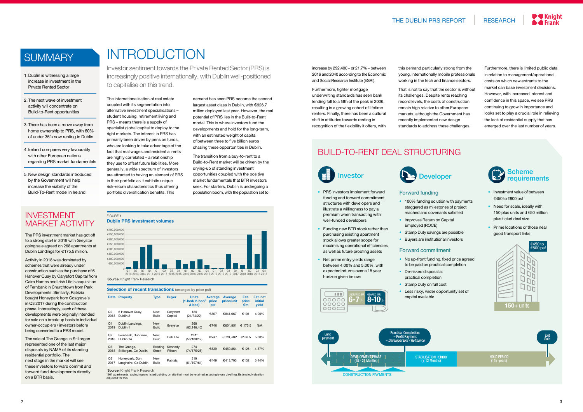### **SUMMARY**



## INTRODUCTION

Investor sentiment towards the Private Rented Sector (PRS) is increasingly positive internationally, with Dublin well-positioned to capitalise on this trend.

The internationalisation of real estate coupled with its segmentation into alternative investment specialisations – student housing, retirement living and PRS – means there is a supply of specialist global capital to deploy to the right markets. The interest in PRS has primarily been driven by pension funds, who are looking to take advantage of the fact that real wages and residential rents are highly correlated – a relationship they use to offset future liabilities. More generally, a wide spectrum of investors are attracted to having an element of PRS in their portfolio as it exhibits unique risk-return characteristics thus offering portfolio diversification benefits. This

demand has seen PRS become the second largest asset class in Dublin, with €926.7 million deployed last year. However, the real potential of PRS lies in the Built-to-Rent model. This is where investors fund the developments and hold for the long-term, with an estimated weight of capital of between three to five billion euros chasing these opportunities in Dublin.

The transition from a buy-to-rent to a Build-to-Rent market will be driven by the drying-up of standing investment opportunities coupled with the positive market fundamentals that BTR investors seek. For starters, Dublin is undergoing a population boom, with the population set to

- 1. Dublin is witnessing a large increase in investment in the Private Rented Sector
- 2. The next wave of investment activity will concentrate on Build-to-Rent opportunities
- 3. There has been a move away from home ownership to PRS, with 60% of under 35's now renting in Dublin
- 4. Ireland compares very favourably with other European nations regarding PRS market fundamentals
- 5. New design standards introduced by the Government will help increase the viability of the Build-To-Rent model in Ireland
- Investment value of between €450 to €800 psf
- Need for scale, ideally with 150 plus units and €50 million plus ticket deal size
- Prime locations or those near good transport links

- to be paid on practical completion
	- De-risked disposal at practical completion
	- Stamp Duty on full cost
	- Less risky, wider opportunity set of capital available

increase by 292,400 – or 21.7% – between 2016 and 2040 according to the Economic and Social Research Institute (ESRI).

Furthermore, tighter mortgage underwriting standards has seen bank lending fall to a fifth of the peak in 2006, resulting in a growing cohort of lifetime renters. Finally, there has been a cultural shift in attitudes towards renting in recognition of the flexibility it offers, with

- PRS investors implement forward funding and forward commitment structures with developers and illustrate a willingness to pay a premium when transacting with well-funded developers
- Funding new BTR stock rather than purchasing existing apartment stock allows greater scope for maximising operational efficiencies as well as future proofing assets
- Net prime entry yields range between 4.00% and 5.00%, with expected returns over a 15 year horizon given below:

this demand particularly strong from the young, internationally mobile professionals working in the tech and finance sectors.

That is not to say that the sector is without its challenges. Despite rents reaching record levels, the costs of construction remain high relative to other European markets, although the Government has recently implemented new design standards to address these challenges.

Furthermore, there is limited public data in relation to management/operational costs on which new entrants to the market can base investment decisions. However, with increased interest and confidence in this space, we see PRS continuing to grow in importance and looks set to play a crucial role in relieving the lack of residential supply that has emerged over the last number of years.

### **Developer**

### BUILD-TO-RENT DEAL STRUCTURING



\*261 apartments, excluding one listed building on site that must be retained as a single-use dwelling. Estimated valuation adjusted for this.

HOLD PERIOD (15+ years)

Exit Sale

- Forward funding • 100% funding solution with payments
- staggered as milestones of project reached and covenants satisfied • Improves Return on Capital
- Employed (ROCE)
- 

• Stamp Duty savings are possible • Buyers are institutional investors

• No up-front funding, fixed price agreed

- 
- 
- 
- 

#### Forward commitment











Source: Knight Frank Research

### INVESTMENT MARKET ACTIVITY

| <b>Selection of recent transactions</b> (arranged by price psf) |                                        |                            |                      |                                                 |                                |                              |                     |                                            |
|-----------------------------------------------------------------|----------------------------------------|----------------------------|----------------------|-------------------------------------------------|--------------------------------|------------------------------|---------------------|--------------------------------------------|
| <b>Date</b>                                                     | <b>Property</b>                        | <b>Type</b>                | <b>Buyer</b>         | <b>Units</b><br>$(1 - bed / 2 - bed)$<br>3-bed) | <b>Average</b><br>price<br>psf | <b>Average</b><br>price/unit | Est.<br>price<br>€m | Est. net<br><i>initial</i><br><b>yield</b> |
| Q2<br>2018                                                      | 6 Hanover Quay,<br>Dublin 2            | New<br><b>Build</b>        | Carysfort<br>Capital | 120<br>(24/74/22)                               | €807                           | €841,667                     | €101                | 4.00%                                      |
| Q <sub>1</sub><br>2019                                          | Dublin Landings,<br>Dublin 1           | <b>New</b><br><b>Build</b> | Greystar             | 268<br>(82, 146, 40)                            | €740                           | €654.851                     | € 175.5             | N/A                                        |
| Q <sub>2</sub><br>2018                                          | Fernbank, Dundrum,<br>Dublin 14        | New<br><b>Build</b>        | Irish Life           | $261*$<br>(56/188/17)                           | €596*                          | €523.946*                    | €138.5              | 5.00%                                      |
| Q <sub>3</sub><br>2018                                          | The Grange,<br>Stillorgan, Co Dublin   | Existing<br>Stock          | Kennedy<br>Wilson    | 274<br>(74/175/25)                              | €539                           | €459.854                     | €126                | 4.37%                                      |
| Q3<br>2017                                                      | Honeypark, Dún<br>Laoghaire, Co Dublin | New<br><b>Build</b>        | Patrizia             | 319<br>(61/197/61)                              | €449                           | €413.793                     | €132                | 5.44%                                      |
| Course Knight Erank Desearch                                    |                                        |                            |                      |                                                 |                                |                              |                     |                                            |

Source: Knight Frank Research

The PRS investment market has got off to a strong start in 2019 with Greystar going sale agreed on 268 apartments at Dublin Landings for €175.5 million.

Activity in 2018 was dominated by schemes that were already under construction such as the purchase of 6 Hanover Quay by Carysfort Capital from Cairn Homes and Irish Life's acquisition of Fernbank in Churchtown from Park Developments. Similarly, Patrizia bought Honeypark from Cosgrave's in Q3 2017 during the construction phase. Interestingly, each of these developments were originally intended for sale on a break-up basis to individual owner-occupiers / investors before being converted to a PRS model.

The sale of The Grange in Stillorgan represented one of the last major disposals by NAMA of its standing residential portfolio. The next stage in the market will see these investors forward commit and forward fund developments directly on a BTR basis.



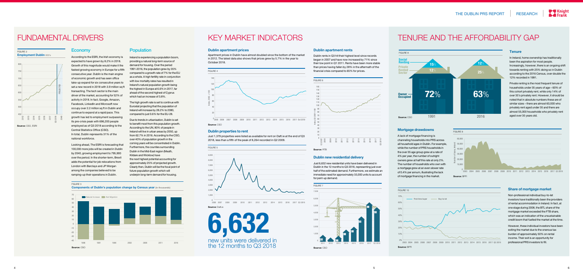### FUNDAMENTAL DRIVERS

### 450 500  $550 -$ 600 650 700 750 800 PROJECTED 2015<br>2015<br>2017<br>2018<br>2018 2012 2013

FIGURE 2

**Source:** CSO, ESRI

**Employment Dublin 000's** 

#### **Economy**

### KEY MARKET INDICATORS

#### **Dublin apartment prices**

Apartment prices in Dublin have almost doubled since the bottom of the market in 2012. The latest data also shows that prices grew by 5.7% in the year to October 2018.

#### **Dublin apartment rents**

Dublin rents in Q3 hit their highest level since records began in 2007 and have now increased by 71% since their low point in Q1 2011. Rents have been more stable than prices having fallen by 28% in the aftermath of the financial crisis compared to 65% for prices.

#### **Share of mortgage market**

Non-professional individual buy-to-let investors have traditionally been the providers of rental accommodation in Ireland. In fact, at one stage during 2008, the BTL share of the mortgage market exceeded the FTB share, which was an indication of the unsustainable credit boom that fuelled the market at the time.

However, these individual investors have been exiting the market due to the onerous tax burden of approximately 50% on rental income. Their exit is an opportunity for professional PRS investors to fill.

#### **Mortgage drawdowns**

A lack of mortgage financing is channeling households into PRS across all household ages in Dublin. For example, while the number of PRS households in the over 35 age group grew at a rate of 4% per year, the number of outright owners grew at half this rate at only 2%. The number of households who own with a mortgage grew at an even slower rate of 0.4% per annum, illustrating the lack of mortgage financing in the market.

#### **Dublin new residential delivery**

Just 6,632 new residential units have been delivered in Dublin in the 12 months to Q3 2018, representing just over half of the estimated demand. Furthermore, we estimate an immediate need for approximately 33,000 units to account for pent-up demand.

### TENURE AND THE AFFORDABILITY GAP



#### **Dublin properties to rent**



Just 1,379 properties were listed as available for rent on Daft.ie at the end of Q3 2018, less than a fifth of the peak of 8,264 recorded in Q2 2009.



According to the ESRI, the Irish economy is expected to have grown by 8.2% in 2018. Growth of this magnitude would make it the fastest growing economy in Europe for a fifth consecutive year. Dublin is the main engine of economic growth and has seen office take-up expand for six consecutive years to set a new record in 2018 with 3.9 million sq ft transacting. The tech sector is the main driver of the market, accounting for 52% of activity in 2018. In fact, Google, Amazon, Facebook, LinkedIn and Microsoft now occupy over 2.2 million sq ft in Dublin and continue to expand at a rapid pace. This growth has led to employment surpassing its pre-crisis peak with 696,200 people employed as of Q3 2018 according to the Central Statistics Office (CSO). In total, Dublin represents 31% of the national workforce.



Looking ahead, The ESRI is forecasting that 100,000 more jobs will be created in Dublin by 2040, growing employment to 795,900 over the period. In the shorter-term, Brexit adds the potential for job relocations from London with Barclays and JP Morgan among the companies believed to be ramping-up their operations in Dublin.

#### **Population**

Ireland is experiencing a population boom, providing a natural long-term source of demand for housing. Over the period 1991-2016, the population grew by 35% compared to a growth rate of 7% for the EU as a whole. A high fertility rate in conjunction with low mortality rates has resulted in Ireland's natural population growth being the highest in Europe at 6.6% in 2017, far ahead of the second highest of Cyprus which had an increase of 3.8%.





The high growth rate is set to continue with Eurostat projecting that the population of Ireland will increase by 28.2% to 2080, compared to just 0.6% for the EU-28.

Due to trends in urbanisation, Dublin is set to benefit most from this population growth. According to the UN, 80% of people in Ireland will live in urban areas by 2050, up from 62.7% in 2016. According to the CSO, over 40% of population growth in the coming years will be concentrated in Dublin. Furthermore, the counties surrounding Dublin in the Mid-East region (Meath, Kildare and Wicklow) have the next highest potential accounting for approximately 25% of projected growth. Clearly then, Dublin will be the focal point of future population growth which will underpin long-term demand for housing.

#### FIGURE 3

#### 5 6





#### **Source:** BPFI



#### **Source:** RTB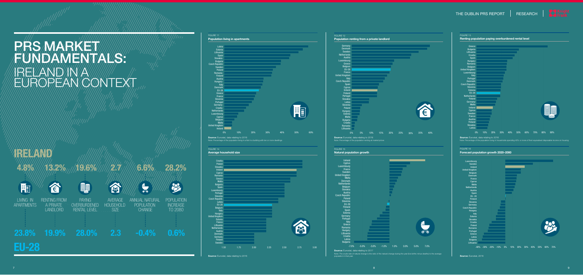



ANNUAL NATURAL POPULATION **CHANGE** 

合 LIVING IN





Note: Percentage of the population living in a flat in a building with ten or more dwellings

**OVERBURDENED** RENTAL LEVEL

23

詢

FIGURE 13







**Source:** Eurostat, data relating to 2016



FIGURE 11

**6.6%**



**28.2%**



**2.7**

AVERAGE **HOUSEHOLD** SIZE

**4.8% 13.2%**



LANDLORD

**19.6%**

PAYING



**23.8% 19.9% 2.3 -0.4% 0.6% 28.0%**

# PAS MARKETT FUNNDAM ENTIALS: IRELAND IN A EUROPEAN CONTEXT

# **IRELAND**

**EU-28**

**Source:** Eurostat, data relating to 2016

Note: Percentage of the population living in households spending 40% or more of their equivalised disposable inq







**Forecast population growth 2020–2080**

**Source:** Eurostat, 2018